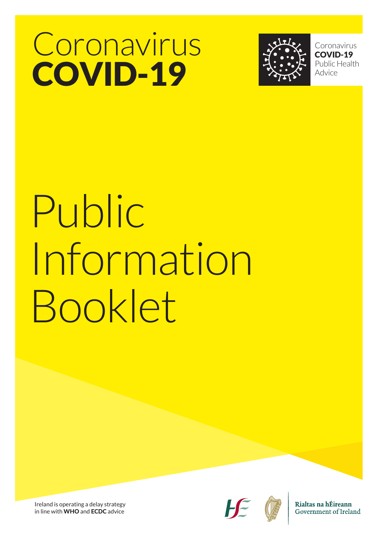## Coronavirus COVID-19



Coronavirus COVID-19 Public Health Advice

# Public Information Booklet

Ireland is operating a delay strategy in line with WHO and ECDC advice





Rialtas na hÉireann Government of Ireland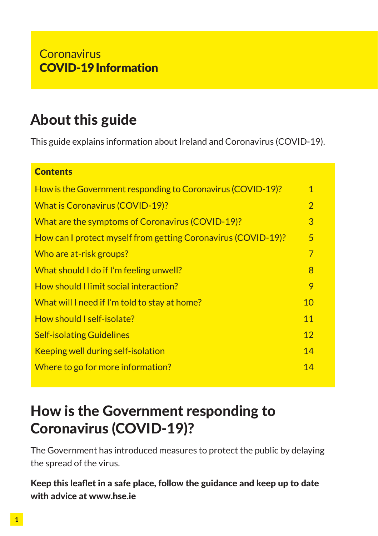## About this guide

This guide explains information about Ireland and Coronavirus (COVID-19).

## How is the Government responding to Coronavirus (COVID-19)? 1 What is Coronavirus (COVID-19)? 2 What are the symptoms of Coronavirus (COVID-19)? How can I protect myself from getting Coronavirus (COVID-19)? 5 Who are at-risk groups? The contract of the contract of the contract of the contract of the contract of the contract of the contract of the contract of the contract of the contract of the contract of the contract of the co What should I do if I'm feeling unwell? How should I limit social interaction? 9 What will I need if I'm told to stay at home? 10 How should I self-isolate? 11 and 12 and 13 and 14 and 14 and 14 and 14 and 14 and 14 and 14 and 14 and 14 and 14 and 14 and 14 and 14 and 14 and 14 and 14 and 14 and 14 and 14 and 14 and 14 and 14 and 14 and 14 and 14 and **Self-isolating Guidelines** 12 and 12 and 12 and 12 and 12 and 12 and 12 and 12 and 12 and 12 and 12 and 12 and 12 Keeping well during self-isolation 14 Where to go for more information? The contraction of the state of the state of the state of the state of the state of the state of the state of the state of the state of the state of the state of the state of the state of **Contents**

## How is the Government responding to Coronavirus (COVID-19)?

The Government has introduced measures to protect the public by delaying the spread of the virus.

Keep this leaflet in a safe place, follow the guidance and keep up to date with advice at www.hse.ie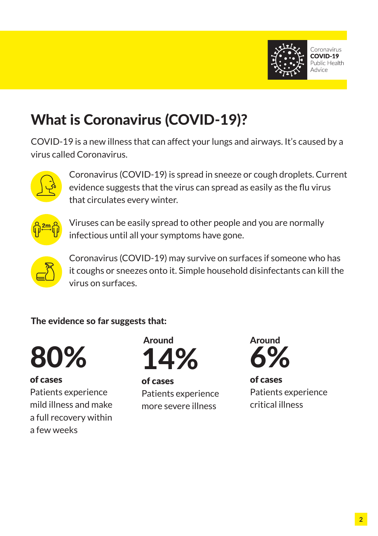

## What is Coronavirus (COVID-19)?

COVID-19 is a new illness that can affect your lungs and airways. It's caused by a virus called Coronavirus.



Coronavirus (COVID-19) is spread in sneeze or cough droplets. Current evidence suggests that the virus can spread as easily as the flu virus that circulates every winter.



Viruses can be easily spread to other people and you are normally infectious until all your symptoms have gone.



Coronavirus (COVID-19) may survive on surfaces if someone who has it coughs or sneezes onto it. Simple household disinfectants can kill the virus on surfaces.

The evidence so far suggests that:



of cases

Patients experience mild illness and make a full recovery within a few weeks



of cases Patients experience more severe illness



of cases Patients experience critical illness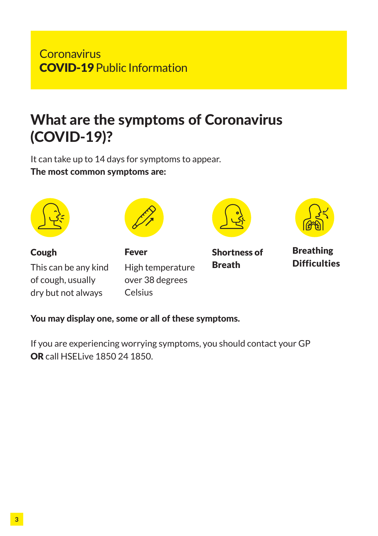#### **Coronavirus** COVID-19 Public Information

## What are the symptoms of Coronavirus (COVID-19)?

It can take up to 14 days for symptoms to appear. The most common symptoms are:



You may display one, some or all of these symptoms.

If you are experiencing worrying symptoms, you should contact your GP OR call HSELive 1850 24 1850.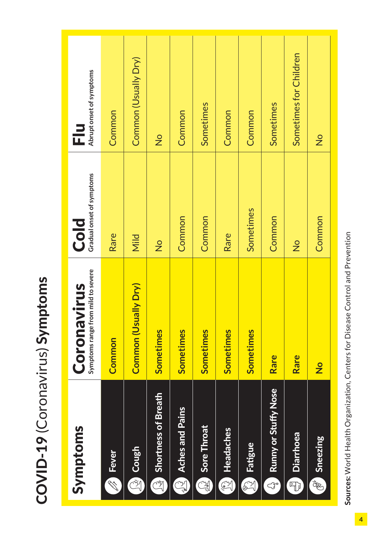| ı<br>l<br>ı         |
|---------------------|
|                     |
| $\ddot{\cdot}$<br>ļ |
|                     |
| こくらく                |
|                     |
|                     |
|                     |
|                     |
| I                   |
|                     |
|                     |
|                     |
|                     |
|                     |
|                     |
|                     |
|                     |
|                     |
|                     |

| Symptoms                                   | Coronavirus                        | Cold                      | 근                        |
|--------------------------------------------|------------------------------------|---------------------------|--------------------------|
|                                            | Symptoms range from mild to severe | Gradual onset of symptoms | Abrupt onset of symptoms |
| <b>Solution</b>                            | Common                             | Rare                      | Common                   |
| <b>Re</b> Cough                            | Common (Usually Dry)               | Mild                      | Common (Usually Dry)     |
| <b>Shortness of Breath</b>                 | Sometimes                          | $\frac{1}{2}$             | $\frac{1}{2}$            |
| <b>Aches and Pains</b>                     | Sometimes                          | Common                    | Common                   |
| Sore Throat                                | <b>Sometimes</b>                   | Common                    | Sometimes                |
| Headaches<br>H                             | Sometimes                          | Rare                      | Common                   |
| Fatigue<br>$\mathbb{Z}$                    | Sometimes                          | Sometimes                 | Common                   |
| 2 Runny or Stuffy Nose                     | Rare                               | Common                    | Sometimes                |
| <b>Diarrhoea</b><br>奇                      | Rare                               | $\frac{1}{2}$             | Sometimes for Children   |
| $\frac{\partial^2}{\partial x^2}$ Sneezing | $\frac{1}{2}$                      | Common                    | $\frac{1}{2}$            |

Sources: World Health Organization, Centers for Disease Control and Prevention Sources: World Health Organization, Centers for Disease Control and Prevention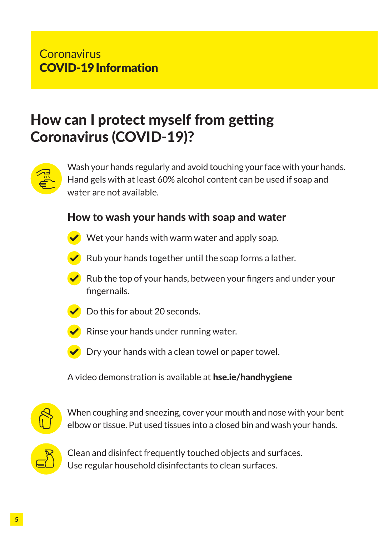## How can I protect myself from getting Coronavirus (COVID-19)?



Wash your hands regularly and avoid touching your face with your hands. Hand gels with at least 60% alcohol content can be used if soap and water are not available.

#### How to wash your hands with soap and water



 $\triangledown$  Wet your hands with warm water and apply soap.



 $\blacktriangleright$  Rub your hands together until the soap forms a lather.

 $\blacktriangleright$  Rub the top of your hands, between your fingers and under your fingernails.



 $\triangleright$  Do this for about 20 seconds.



 $\triangleright$  Rinse your hands under running water.



 $\triangledown$  Dry your hands with a clean towel or paper towel.

A video demonstration is available at hse.ie/handhygiene



When coughing and sneezing, cover your mouth and nose with your bent elbow or tissue. Put used tissues into a closed bin and wash your hands.



Clean and disinfect frequently touched objects and surfaces. Use regular household disinfectants to clean surfaces.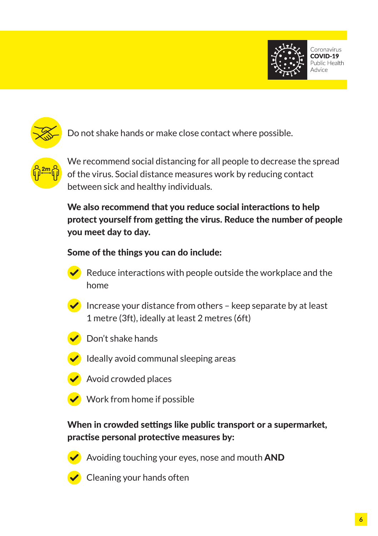





Do not shake hands or make close contact where possible.



We recommend social distancing for all people to decrease the spread of the virus. Social distance measures work by reducing contact between sick and healthy individuals.

We also recommend that you reduce social interactions to help protect yourself from getting the virus. Reduce the number of people you meet day to day.

#### Some of the things you can do include:



Increase your distance from others – keep separate by at least 1 metre (3ft), ideally at least 2 metres (6ft)



Don't shake hands



 $\bullet$  Ideally avoid communal sleeping areas

- Avoid crowded places
- $\blacktriangleright$  Work from home if possible

#### When in crowded settings like public transport or a supermarket, practise personal protective measures by:



Avoiding touching your eyes, nose and mouth AND



Cleaning your hands often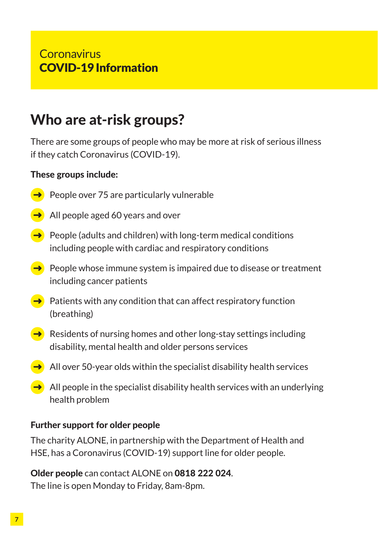## Who are at-risk groups?

There are some groups of people who may be more at risk of serious illness if they catch Coronavirus (COVID-19).

#### These groups include:

- $\rightarrow$  People over 75 are particularly vulnerable
- $\rightarrow$  All people aged 60 years and over
- $\rightarrow$  People (adults and children) with long-term medical conditions including people with cardiac and respiratory conditions
- $\rightarrow$  People whose immune system is impaired due to disease or treatment including cancer patients
- $\rightarrow$  Patients with any condition that can affect respiratory function (breathing)
- $\rightarrow$  Residents of nursing homes and other long-stay settings including disability, mental health and older persons services
- $\blacktriangleright$  All over 50-year olds within the specialist disability health services
- $\rightarrow$  All people in the specialist disability health services with an underlying health problem

#### Further support for older people

The charity ALONE, in partnership with the Department of Health and HSE, has a Coronavirus (COVID-19) support line for older people.

Older people can contact ALONE on 0818 222 024. The line is open Monday to Friday, 8am-8pm.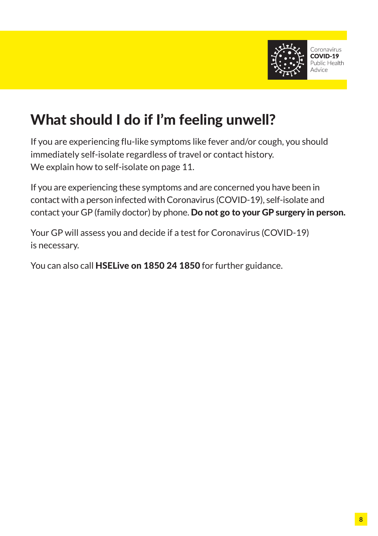

## What should I do if I'm feeling unwell?

If you are experiencing flu-like symptoms like fever and/or cough, you should immediately self-isolate regardless of travel or contact history. We explain how to self-isolate on page 11.

If you are experiencing these symptoms and are concerned you have been in contact with a person infected with Coronavirus (COVID-19), self-isolate and contact your GP (family doctor) by phone. Do not go to your GP surgery in person.

Your GP will assess you and decide if a test for Coronavirus (COVID-19) is necessary.

You can also call HSELive on 1850 24 1850 for further guidance.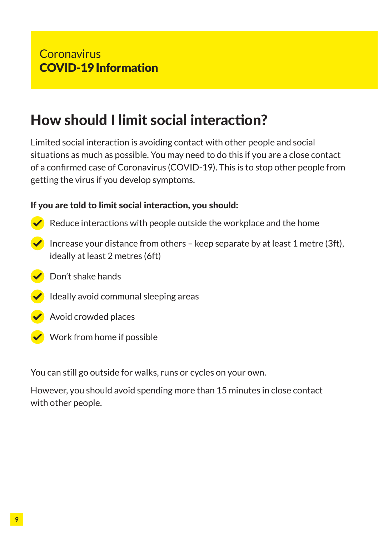## How should I limit social interaction?

Limited social interaction is avoiding contact with other people and social situations as much as possible. You may need to do this if you are a close contact of a confirmed case of Coronavirus (COVID-19). This is to stop other people from getting the virus if you develop symptoms.

#### If you are told to limit social interaction, you should:

- Reduce interactions with people outside the workplace and the home
- Increase your distance from others keep separate by at least 1 metre (3ft), ideally at least 2 metres (6ft)
- Don't shake hands
- $\blacksquare$  Ideally avoid communal sleeping areas
- $\triangle$  Avoid crowded places
- $\bullet$  Work from home if possible

You can still go outside for walks, runs or cycles on your own.

However, you should avoid spending more than 15 minutes in close contact with other people.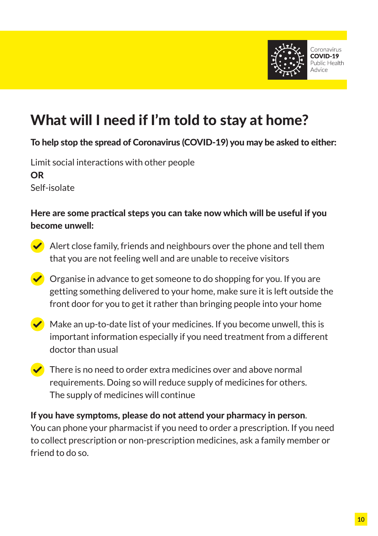

## What will I need if I'm told to stay at home?

#### To help stop the spread of Coronavirus (COVID-19) you may be asked to either:

Limit social interactions with other people OR Self-isolate

#### Here are some practical steps you can take now which will be useful if you become unwell:

- Alert close family, friends and neighbours over the phone and tell them that you are not feeling well and are unable to receive visitors
- $\blacktriangleright$  Organise in advance to get someone to do shopping for you. If you are getting something delivered to your home, make sure it is left outside the front door for you to get it rather than bringing people into your home
- $\triangle$  Make an up-to-date list of your medicines. If you become unwell, this is important information especially if you need treatment from a different doctor than usual
- $\blacktriangleright$  There is no need to order extra medicines over and above normal requirements. Doing so will reduce supply of medicines for others. The supply of medicines will continue

#### If you have symptoms, please do not attend your pharmacy in person. You can phone your pharmacist if you need to order a prescription. If you need to collect prescription or non-prescription medicines, ask a family member or friend to do so.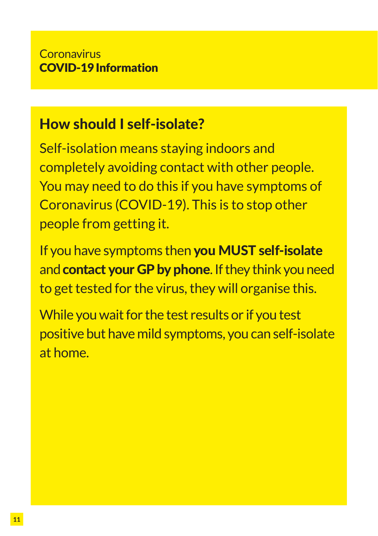## How should I self-isolate?

Self-isolation means staying indoors and completely avoiding contact with other people. You may need to do this if you have symptoms of Coronavirus (COVID-19). This is to stop other people from getting it.

If you have symptoms then you MUST self-isolate and **contact your GP by phone**. If they think you need to get tested for the virus, they will organise this.

While you wait for the test results or if you test positive but have mild symptoms, you can self-isolate at home.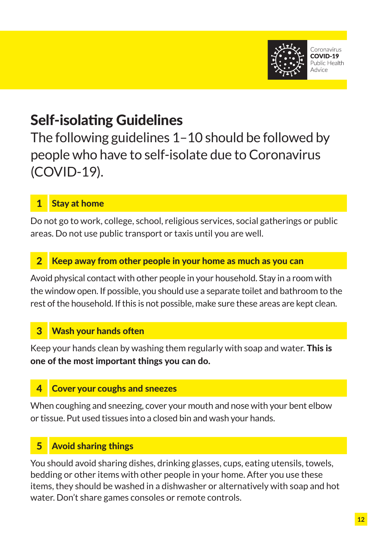

## Self-isolating Guidelines

The following guidelines 1–10 should be followed by people who have to self-isolate due to Coronavirus (COVID-19).

#### 1 Stay at home

Do not go to work, college, school, religious services, social gatherings or public areas. Do not use public transport or taxis until you are well.

#### Keep away from other people in your home as much as you can

Avoid physical contact with other people in your household. Stay in a room with the window open. If possible, you should use a separate toilet and bathroom to the rest of the household. If this is not possible, make sure these areas are kept clean.

#### **Wash your hands often**

Keep your hands clean by washing them regularly with soap and water. This is one of the most important things you can do.

#### **Cover your coughs and sneezes**

When coughing and sneezing, cover your mouth and nose with your bent elbow or tissue. Put used tissues into a closed bin and wash your hands.

#### 5 Avoid sharing things

You should avoid sharing dishes, drinking glasses, cups, eating utensils, towels, bedding or other items with other people in your home. After you use these items, they should be washed in a dishwasher or alternatively with soap and hot water. Don't share games consoles or remote controls.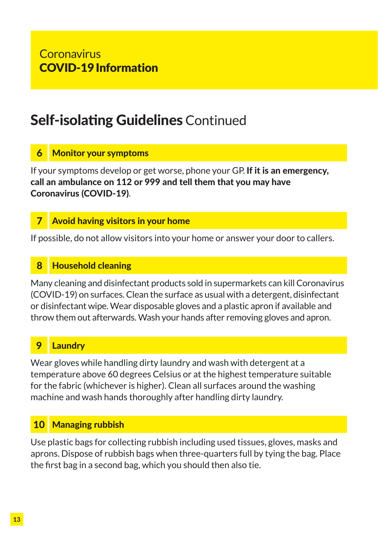## Self-isolating Guidelines Continued

#### **Monitor your symptoms**

If your symptoms develop or get worse, phone your GP. If it is an emergency, call an ambulance on 112 or 999 and tell them that you may have Coronavirus (COVID-19).

#### 7 Avoid having visitors in your home

If possible, do not allow visitors into your home or answer your door to callers.

#### 8 Household cleaning

Many cleaning and disinfectant products sold in supermarkets can kill Coronavirus (COVID-19) on surfaces. Clean the surface as usual with a detergent, disinfectant or disinfectant wipe. Wear disposable gloves and a plastic apron if available and throw them out afterwards. Wash your hands after removing gloves and apron.

#### **Laundry**

Wear gloves while handling dirty laundry and wash with detergent at a temperature above 60 degrees Celsius or at the highest temperature suitable for the fabric (whichever is higher). Clean all surfaces around the washing machine and wash hands thoroughly after handling dirty laundry.

#### 10 Managing rubbish

Use plastic bags for collecting rubbish including used tissues, gloves, masks and aprons. Dispose of rubbish bags when three-quarters full by tying the bag. Place the first bag in a second bag, which you should then also tie.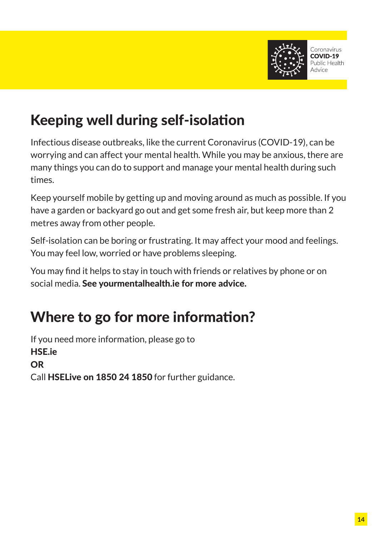

## Keeping well during self-isolation

Infectious disease outbreaks, like the current Coronavirus (COVID-19), can be worrying and can affect your mental health. While you may be anxious, there are many things you can do to support and manage your mental health during such times.

Keep yourself mobile by getting up and moving around as much as possible. If you have a garden or backyard go out and get some fresh air, but keep more than 2 metres away from other people.

Self-isolation can be boring or frustrating. It may affect your mood and feelings. You may feel low, worried or have problems sleeping.

You may find it helps to stay in touch with friends or relatives by phone or on social media. See yourmentalhealth.ie for more advice.

## Where to go for more information?

If you need more information, please go to HSE.ie OR Call HSELive on 1850 24 1850 for further guidance.